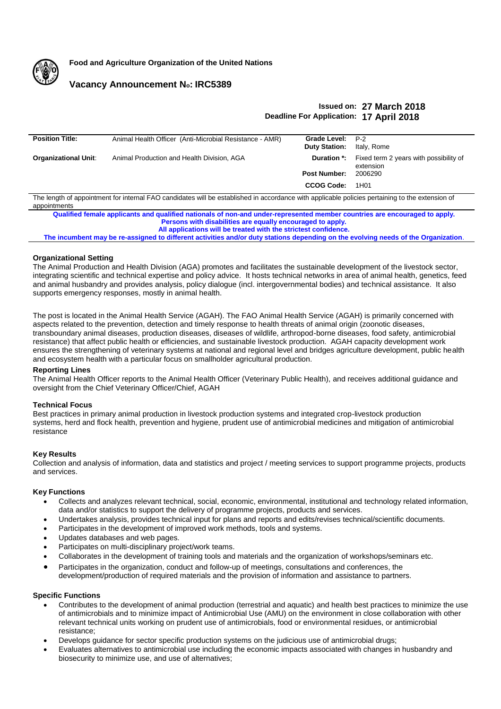

**Food and Agriculture Organization of the United Nations**

# **Vacancy Announcement No: IRC5389**

# **Issued on: 27 March 2018 Deadline For Application: 17 April 2018**

| <b>Position Title:</b>                                                                                                                          | Animal Health Officer (Anti-Microbial Resistance - AMR) | Grade Level: P-2     |                                                                        |
|-------------------------------------------------------------------------------------------------------------------------------------------------|---------------------------------------------------------|----------------------|------------------------------------------------------------------------|
|                                                                                                                                                 |                                                         | <b>Duty Station:</b> | Italy, Rome                                                            |
| <b>Organizational Unit:</b>                                                                                                                     | Animal Production and Health Division, AGA              |                      | <b>Duration *:</b> Fixed term 2 years with possibility of<br>extension |
|                                                                                                                                                 |                                                         | <b>Post Number:</b>  | 2006290                                                                |
|                                                                                                                                                 |                                                         | <b>CCOG Code:</b>    | 1H <sub>0</sub> 1                                                      |
| The length of appointment for internal EAO candidates will be established in accordance with applicable policies pertaining to the extension of |                                                         |                      |                                                                        |

ength of appointment for internal FAO candidates will be established in accordance with applicable policies pertaining to the extension appointments

**Qualified female applicants and qualified nationals of non-and under-represented member countries are encouraged to apply. Persons with disabilities are equally encouraged to apply. All applications will be treated with the strictest confidence.**

**The incumbent may be re-assigned to different activities and/or duty stations depending on the evolving needs of the Organization**.

## **Organizational Setting**

The Animal Production and Health Division (AGA) promotes and facilitates the sustainable development of the livestock sector, integrating scientific and technical expertise and policy advice. It hosts technical networks in area of animal health, genetics, feed and animal husbandry and provides analysis, policy dialogue (incl. intergovernmental bodies) and technical assistance. It also supports emergency responses, mostly in animal health.

The post is located in the Animal Health Service (AGAH). The FAO Animal Health Service (AGAH) is primarily concerned with aspects related to the prevention, detection and timely response to health threats of animal origin (zoonotic diseases, transboundary animal diseases, production diseases, diseases of wildlife, arthropod-borne diseases, food safety, antimicrobial resistance) that affect public health or efficiencies, and sustainable livestock production. AGAH capacity development work ensures the strengthening of veterinary systems at national and regional level and bridges agriculture development, public health and ecosystem health with a particular focus on smallholder agricultural production.

## **Reporting Lines**

The Animal Health Officer reports to the Animal Health Officer (Veterinary Public Health), and receives additional guidance and oversight from the Chief Veterinary Officer/Chief, AGAH

## **Technical Focus**

Best practices in primary animal production in livestock production systems and integrated crop-livestock production systems, herd and flock health, prevention and hygiene, prudent use of antimicrobial medicines and mitigation of antimicrobial resistance

## **Key Results**

Collection and analysis of information, data and statistics and project / meeting services to support programme projects, products and services.

## **Key Functions**

- Collects and analyzes relevant technical, social, economic, environmental, institutional and technology related information, data and/or statistics to support the delivery of programme projects, products and services.
- Undertakes analysis, provides technical input for plans and reports and edits/revises technical/scientific documents.
- Participates in the development of improved work methods, tools and systems.
- Updates databases and web pages.
- Participates on multi-disciplinary project/work teams.
- Collaborates in the development of training tools and materials and the organization of workshops/seminars etc.
- Participates in the organization, conduct and follow-up of meetings, consultations and conferences, the development/production of required materials and the provision of information and assistance to partners.

## **Specific Functions**

- Contributes to the development of animal production (terrestrial and aquatic) and health best practices to minimize the use of antimicrobials and to minimize impact of Antimicrobial Use (AMU) on the environment in close collaboration with other relevant technical units working on prudent use of antimicrobials, food or environmental residues, or antimicrobial resistance;
- Develops guidance for sector specific production systems on the judicious use of antimicrobial drugs;
- Evaluates alternatives to antimicrobial use including the economic impacts associated with changes in husbandry and biosecurity to minimize use, and use of alternatives;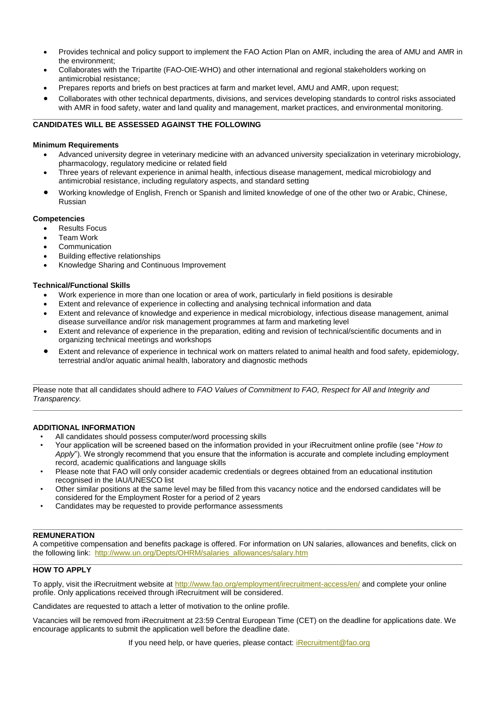- Provides technical and policy support to implement the FAO Action Plan on AMR, including the area of AMU and AMR in the environment;
- Collaborates with the Tripartite (FAO-OIE-WHO) and other international and regional stakeholders working on antimicrobial resistance;
- Prepares reports and briefs on best practices at farm and market level, AMU and AMR, upon request;
- Collaborates with other technical departments, divisions, and services developing standards to control risks associated with AMR in food safety, water and land quality and management, market practices, and environmental monitoring.

#### **\_\_\_\_\_\_\_\_\_\_\_\_\_\_\_\_\_\_\_\_\_\_\_\_\_\_\_\_\_\_\_\_\_\_\_\_\_\_\_\_\_\_\_\_\_\_\_\_\_\_\_\_\_\_\_\_\_\_\_\_\_\_\_\_\_\_\_\_\_\_\_\_\_\_\_\_\_\_\_\_\_\_\_\_\_\_\_\_\_\_\_\_\_\_\_\_\_\_\_\_\_\_ CANDIDATES WILL BE ASSESSED AGAINST THE FOLLOWING**

## **Minimum Requirements**

- Advanced university degree in veterinary medicine with an advanced university specialization in veterinary microbiology, pharmacology, regulatory medicine or related field
- Three years of relevant experience in animal health, infectious disease management, medical microbiology and antimicrobial resistance, including regulatory aspects, and standard setting
- Working knowledge of English, French or Spanish and limited knowledge of one of the other two or Arabic, Chinese, Russian

## **Competencies**

- Results Focus
- **•** Team Work
- Communication
- Building effective relationships
- Knowledge Sharing and Continuous Improvement

## **Technical/Functional Skills**

- Work experience in more than one location or area of work, particularly in field positions is desirable
- Extent and relevance of experience in collecting and analysing technical information and data
- Extent and relevance of knowledge and experience in medical microbiology, infectious disease management, animal disease surveillance and/or risk management programmes at farm and marketing level
- Extent and relevance of experience in the preparation, editing and revision of technical/scientific documents and in organizing technical meetings and workshops
- Extent and relevance of experience in technical work on matters related to animal health and food safety, epidemiology, terrestrial and/or aquatic animal health, laboratory and diagnostic methods

**\_\_\_\_\_\_\_\_\_\_\_\_\_\_\_\_\_\_\_\_\_\_\_\_\_\_\_\_\_\_\_\_\_\_\_\_\_\_\_\_\_\_\_\_\_\_\_\_\_\_\_\_\_\_\_\_\_\_\_\_\_\_\_\_\_\_\_\_\_\_\_\_\_\_\_\_\_\_\_\_\_\_\_\_\_\_\_\_\_\_\_\_\_\_\_\_\_\_\_\_\_\_** Please note that all candidates should adhere to *FAO Values of Commitment to FAO, Respect for All and Integrity and Transparency.*

## **ADDITIONAL INFORMATION**

- All candidates should possess computer/word processing skills
- Your application will be screened based on the information provided in your iRecruitment online profile (see "*How to Apply*"). We strongly recommend that you ensure that the information is accurate and complete including employment record, academic qualifications and language skills

**\_\_\_\_\_\_\_\_\_\_\_\_\_\_\_\_\_\_\_\_\_\_\_\_\_\_\_\_\_\_\_\_\_\_\_\_\_\_\_\_\_\_\_\_\_\_\_\_\_\_\_\_\_\_\_\_\_\_\_\_\_\_\_\_\_\_\_\_\_\_\_\_\_\_\_\_\_\_\_\_\_\_\_\_\_\_\_\_\_\_\_\_\_\_\_\_\_\_\_\_\_\_**

- Please note that FAO will only consider academic credentials or degrees obtained from an educational institution recognised in the IAU/UNESCO list
- Other similar positions at the same level may be filled from this vacancy notice and the endorsed candidates will be considered for the Employment Roster for a period of 2 years
- Candidates may be requested to provide performance assessments

#### **\_\_\_\_\_\_\_\_\_\_\_\_\_\_\_\_\_\_\_\_\_\_\_\_\_\_\_\_\_\_\_\_\_\_\_\_\_\_\_\_\_\_\_\_\_\_\_\_\_\_\_\_\_\_\_\_\_\_\_\_\_\_\_\_\_\_\_\_\_\_\_\_\_\_\_\_\_\_\_\_\_\_\_\_\_\_\_\_\_\_\_\_\_\_\_\_\_\_\_\_\_\_ REMUNERATION**

A competitive compensation and benefits package is offered. For information on UN salaries, allowances and benefits, click on the following link: [http://www.un.org/Depts/OHRM/salaries\\_allowances/salary.htm](http://www.un.org/Depts/OHRM/salaries_allowances/salary.htm) **\_\_\_\_\_\_\_\_\_\_\_\_\_\_\_\_\_\_\_\_\_\_\_\_\_\_\_\_\_\_\_\_\_\_\_\_\_\_\_\_\_\_\_\_\_\_\_\_\_\_\_\_\_\_\_\_\_\_\_\_\_\_\_\_\_\_\_\_\_\_\_\_\_\_\_\_\_\_\_\_\_\_\_\_\_\_\_\_\_\_\_\_\_\_\_\_\_\_\_\_\_\_**

## **HOW TO APPLY**

To apply, visit the iRecruitment website a[t http://www.fao.org/employment/irecruitment-access/en/](http://www.fao.org/employment/irecruitment-access/en/) and complete your online profile. Only applications received through iRecruitment will be considered.

Candidates are requested to attach a letter of motivation to the online profile.

Vacancies will be removed from iRecruitment at 23:59 Central European Time (CET) on the deadline for applications date. We encourage applicants to submit the application well before the deadline date.

If you need help, or have queries, please contact: [iRecruitment@fao.org](mailto:iRecruitment@fao.org)